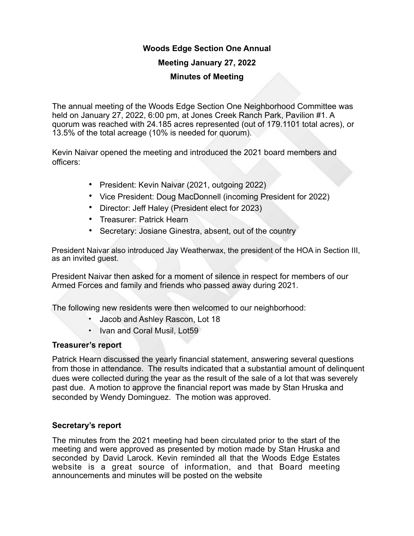## **Woods Edge Section One Annual**

### **Meeting January 27, 2022**

#### **Minutes of Meeting**

The annual meeting of the Woods Edge Section One Neighborhood Committee was held on January 27, 2022, 6:00 pm, at Jones Creek Ranch Park, Pavilion #1. A quorum was reached with 24.185 acres represented (out of 179.1101 total acres), or 13.5% of the total acreage (10% is needed for quorum).

Kevin Naivar opened the meeting and introduced the 2021 board members and officers:

- President: Kevin Naivar (2021, outgoing 2022)
- Vice President: Doug MacDonnell (incoming President for 2022)
- Director: Jeff Haley (President elect for 2023)
- Treasurer: Patrick Hearn
- Secretary: Josiane Ginestra, absent, out of the country

President Naivar also introduced Jay Weatherwax, the president of the HOA in Section III, as an invited guest.

President Naivar then asked for a moment of silence in respect for members of our Armed Forces and family and friends who passed away during 2021.

The following new residents were then welcomed to our neighborhood:

- Jacob and Ashley Rascon, Lot 18
- Ivan and Coral Musil, Lot59

#### **Treasurer's report**

Patrick Hearn discussed the yearly financial statement, answering several questions from those in attendance. The results indicated that a substantial amount of delinquent dues were collected during the year as the result of the sale of a lot that was severely past due. A motion to approve the financial report was made by Stan Hruska and seconded by Wendy Dominguez. The motion was approved.

#### **Secretary's report**

The minutes from the 2021 meeting had been circulated prior to the start of the meeting and were approved as presented by motion made by Stan Hruska and seconded by David Larock. Kevin reminded all that the Woods Edge Estates website is a great source of information, and that Board meeting announcements and minutes will be posted on the website